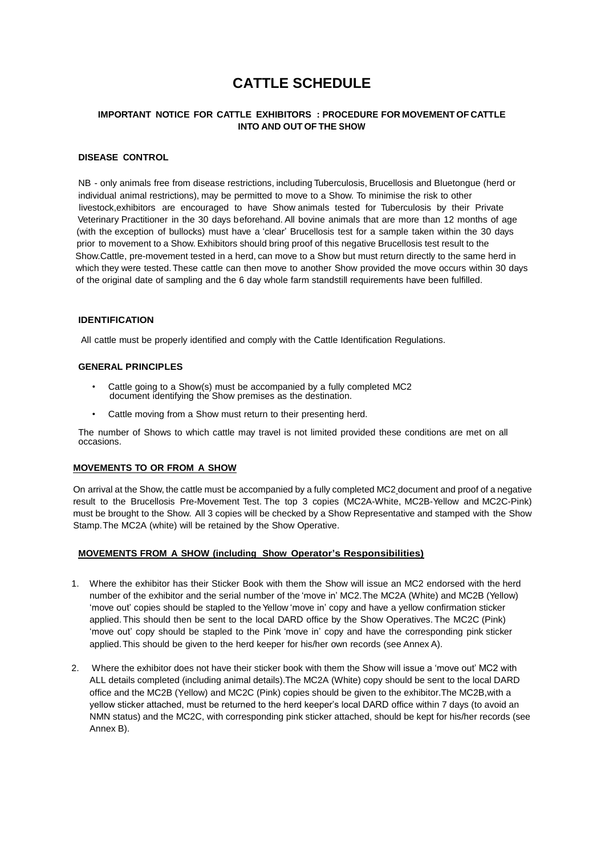# **CATTLE SCHEDULE**

## **IMPORTANT NOTICE FOR CATTLE EXHIBITORS : PROCEDURE FOR MOVEMENT OF CATTLE INTO AND OUT OF THE SHOW**

#### **DISEASE CONTROL**

 NB - only animals free from disease restrictions, including Tuberculosis, Brucellosis and Bluetongue (herd or individual animal restrictions), may be permitted to move to a Show. To minimise the risk to other livestock,exhibitors are encouraged to have Show animals tested for Tuberculosis by their Private Veterinary Practitioner in the 30 days beforehand. All bovine animals that are more than 12 months of age (with the exception of bullocks) must have a 'clear' Brucellosis test for a sample taken within the 30 days prior to movement to a Show. Exhibitors should bring proof of this negative Brucellosis test result to the Show.Cattle, pre-movement tested in a herd, can move to a Show but must return directly to the same herd in which they were tested. These cattle can then move to another Show provided the move occurs within 30 days of the original date of sampling and the 6 day whole farm standstill requirements have been fulfilled.

#### **IDENTIFICATION**

All cattle must be properly identified and comply with the Cattle Identification Regulations.

#### **GENERAL PRINCIPLES**

- Cattle going to a Show(s) must be accompanied by a fully completed MC2 document identifying the Show premises as the destination.
- Cattle moving from a Show must return to their presenting herd.

The number of Shows to which cattle may travel is not limited provided these conditions are met on all occasions.

#### **MOVEMENTS TO OR FROM A SHOW**

On arrival at the Show, the cattle must be accompanied by a fully completed MC2 document and proof of a negative result to the Brucellosis Pre-Movement Test. The top 3 copies (MC2A-White, MC2B-Yellow and MC2C-Pink) must be brought to the Show. All 3 copies will be checked by a Show Representative and stamped with the Show Stamp.The MC2A (white) will be retained by the Show Operative.

#### **MOVEMENTS FROM A SHOW (including Show Operator's Responsibilities)**

- 1. Where the exhibitor has their Sticker Book with them the Show will issue an MC2 endorsed with the herd number of the exhibitor and the serial number of the 'move in' MC2.The MC2A (White) and MC2B (Yellow) 'move out' copies should be stapled to the Yellow 'move in' copy and have a vellow confirmation sticker applied. This should then be sent to the local DARD office by the Show Operatives. The MC2C (Pink) 'move out' copy should be stapled to the Pink 'move in' copy and have the corresponding pink sticker applied.This should be given to the herd keeper for his/her own records (see Annex A).
- 2. Where the exhibitor does not have their sticker book with them the Show will issue a 'move out' MC2 with ALL details completed (including animal details).The MC2A (White) copy should be sent to the local DARD office and the MC2B (Yellow) and MC2C (Pink) copies should be given to the exhibitor.The MC2B,with a yellow sticker attached, must be returned to the herd keeper's local DARD office within 7 days (to avoid an NMN status) and the MC2C, with corresponding pink sticker attached, should be kept for his/her records (see Annex B).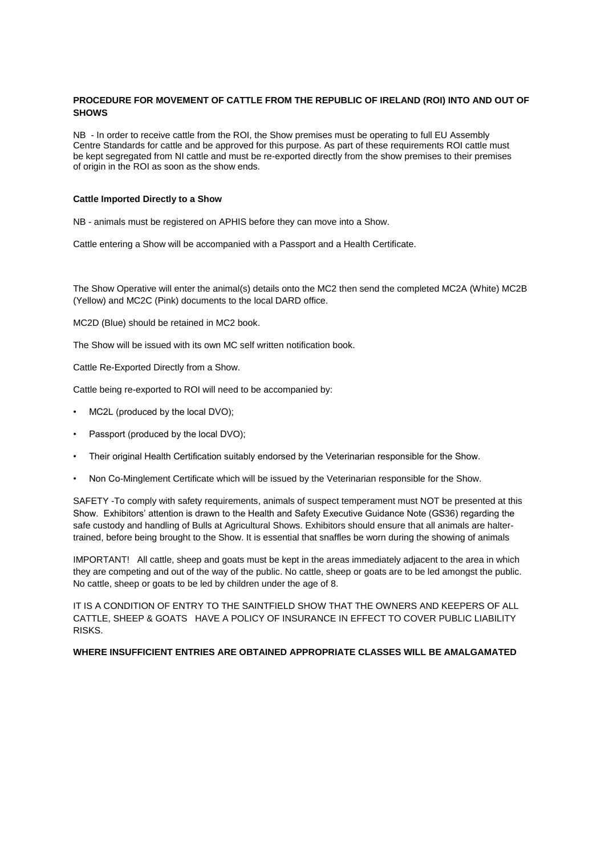### **PROCEDURE FOR MOVEMENT OF CATTLE FROM THE REPUBLIC OF IRELAND (ROI) INTO AND OUT OF SHOWS**

NB - In order to receive cattle from the ROI, the Show premises must be operating to full EU Assembly Centre Standards for cattle and be approved for this purpose. As part of these requirements ROI cattle must be kept segregated from NI cattle and must be re-exported directly from the show premises to their premises of origin in the ROI as soon as the show ends.

#### **Cattle Imported Directly to a Show**

NB - animals must be registered on APHIS before they can move into a Show.

Cattle entering a Show will be accompanied with a Passport and a Health Certificate.

The Show Operative will enter the animal(s) details onto the MC2 then send the completed MC2A (White) MC2B (Yellow) and MC2C (Pink) documents to the local DARD office.

MC2D (Blue) should be retained in MC2 book.

The Show will be issued with its own MC self written notification book.

Cattle Re-Exported Directly from a Show.

Cattle being re-exported to ROI will need to be accompanied by:

- MC2L (produced by the local DVO);
- Passport (produced by the local DVO);
- Their original Health Certification suitably endorsed by the Veterinarian responsible for the Show.
- Non Co-Minglement Certificate which will be issued by the Veterinarian responsible for the Show.

SAFETY -To comply with safety requirements, animals of suspect temperament must NOT be presented at this Show. Exhibitors' attention is drawn to the Health and Safety Executive Guidance Note (GS36) regarding the safe custody and handling of Bulls at Agricultural Shows. Exhibitors should ensure that all animals are haltertrained, before being brought to the Show. It is essential that snaffles be worn during the showing of animals

IMPORTANT! All cattle, sheep and goats must be kept in the areas immediately adjacent to the area in which they are competing and out of the way of the public. No cattle, sheep or goats are to be led amongst the public. No cattle, sheep or goats to be led by children under the age of 8.

IT IS A CONDITION OF ENTRY TO THE SAINTFIELD SHOW THAT THE OWNERS AND KEEPERS OF ALL CATTLE, SHEEP & GOATS HAVE A POLICY OF INSURANCE IN EFFECT TO COVER PUBLIC LIABILITY RISKS.

#### **WHERE INSUFFICIENT ENTRIES ARE OBTAINED APPROPRIATE CLASSES WILL BE AMALGAMATED**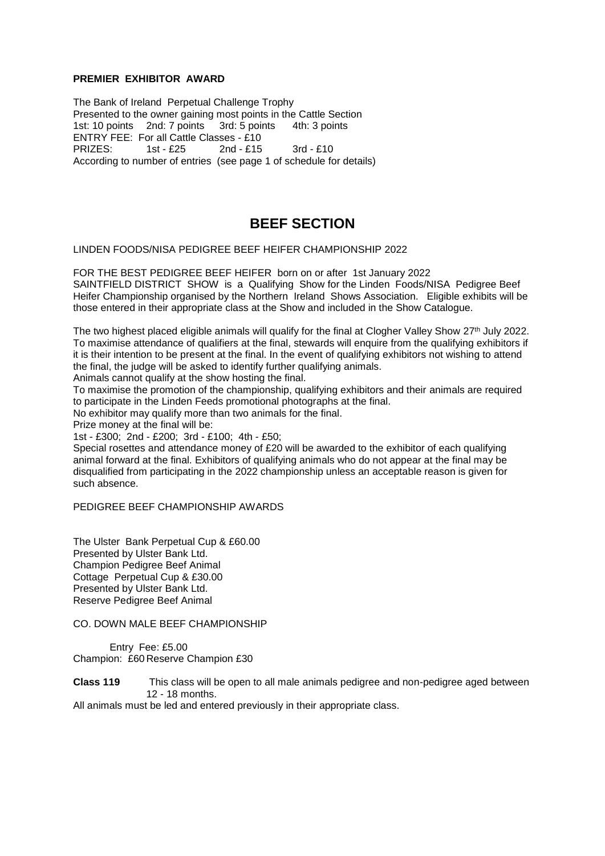## **PREMIER EXHIBITOR AWARD**

The Bank of Ireland Perpetual Challenge Trophy Presented to the owner gaining most points in the Cattle Section 1st: 10 points 2nd: 7 points 3rd: 5 points 4th: 3 points ENTRY FEE: For all Cattle Classes - £10 PRIZES: 1st - £25 2nd - £15 3rd - £10 According to number of entries (see page 1 of schedule for details)

# **BEEF SECTION**

LINDEN FOODS/NISA PEDIGREE BEEF HEIFER CHAMPIONSHIP 2022

FOR THE BEST PEDIGREE BEEF HEIFER born on or after 1st January 2022 SAINTFIELD DISTRICT SHOW is a Qualifying Show for the Linden Foods/NISA Pedigree Beef Heifer Championship organised by the Northern Ireland Shows Association. Eligible exhibits will be those entered in their appropriate class at the Show and included in the Show Catalogue.

The two highest placed eligible animals will qualify for the final at Clogher Valley Show 27<sup>th</sup> July 2022. To maximise attendance of qualifiers at the final, stewards will enquire from the qualifying exhibitors if it is their intention to be present at the final. In the event of qualifying exhibitors not wishing to attend the final, the judge will be asked to identify further qualifying animals.

Animals cannot qualify at the show hosting the final.

To maximise the promotion of the championship, qualifying exhibitors and their animals are required to participate in the Linden Feeds promotional photographs at the final.

No exhibitor may qualify more than two animals for the final.

Prize money at the final will be:

1st - £300; 2nd - £200; 3rd - £100; 4th - £50;

Special rosettes and attendance money of £20 will be awarded to the exhibitor of each qualifying animal forward at the final. Exhibitors of qualifying animals who do not appear at the final may be disqualified from participating in the 2022 championship unless an acceptable reason is given for such absence.

PEDIGREE BEEF CHAMPIONSHIP AWARDS

The Ulster Bank Perpetual Cup & £60.00 Presented by Ulster Bank Ltd. Champion Pedigree Beef Animal Cottage Perpetual Cup & £30.00 Presented by Ulster Bank Ltd. Reserve Pedigree Beef Animal

# CO. DOWN MALE BEEF CHAMPIONSHIP

Entry Fee: £5.00 Champion: £60 Reserve Champion £30

**Class 119** This class will be open to all male animals pedigree and non-pedigree aged between 12 - 18 months.

All animals must be led and entered previously in their appropriate class.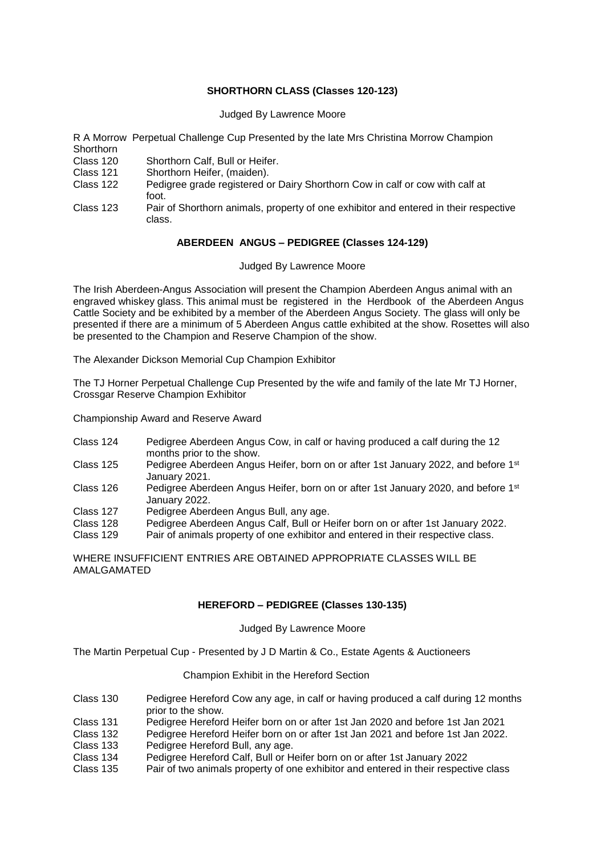# **SHORTHORN CLASS (Classes 120-123)**

Judged By Lawrence Moore

R A Morrow Perpetual Challenge Cup Presented by the late Mrs Christina Morrow Champion Shorthorn<br>Class 120

- Class 120 Shorthorn Calf, Bull or Heifer.<br>Class 121 Shorthorn Heifer. (maiden).
- Class 121 Shorthorn Heifer, (maiden).<br>Class 122 Pedigree grade registered o
- Pedigree grade registered or Dairy Shorthorn Cow in calf or cow with calf at foot.
- Class 123 Pair of Shorthorn animals, property of one exhibitor and entered in their respective class.

# **ABERDEEN ANGUS – PEDIGREE (Classes 124-129)**

## Judged By Lawrence Moore

The Irish Aberdeen-Angus Association will present the Champion Aberdeen Angus animal with an engraved whiskey glass. This animal must be registered in the Herdbook of the Aberdeen Angus Cattle Society and be exhibited by a member of the Aberdeen Angus Society. The glass will only be presented if there are a minimum of 5 Aberdeen Angus cattle exhibited at the show. Rosettes will also be presented to the Champion and Reserve Champion of the show.

The Alexander Dickson Memorial Cup Champion Exhibitor

The TJ Horner Perpetual Challenge Cup Presented by the wife and family of the late Mr TJ Horner, Crossgar Reserve Champion Exhibitor

Championship Award and Reserve Award

- Class 124 Pedigree Aberdeen Angus Cow, in calf or having produced a calf during the 12 months prior to the show.
- Class 125 Pedigree Aberdeen Angus Heifer, born on or after 1st January 2022, and before 1st January 2021.
- Class 126 Pedigree Aberdeen Angus Heifer, born on or after 1st January 2020, and before 1st January 2022.
- Class 127 Pedigree Aberdeen Angus Bull, any age.
- Class 128 Pedigree Aberdeen Angus Calf, Bull or Heifer born on or after 1st January 2022.
- Class 129 Pair of animals property of one exhibitor and entered in their respective class.

WHERE INSUFFICIENT ENTRIES ARE OBTAINED APPROPRIATE CLASSES WILL BE AMALGAMATED

# **HEREFORD – PEDIGREE (Classes 130-135)**

## Judged By Lawrence Moore

The Martin Perpetual Cup - Presented by J D Martin & Co., Estate Agents & Auctioneers

## Champion Exhibit in the Hereford Section

- Class 130 Pedigree Hereford Cow any age, in calf or having produced a calf during 12 months prior to the show.
- Class 131 Pedigree Hereford Heifer born on or after 1st Jan 2020 and before 1st Jan 2021
- Class 132 Pedigree Hereford Heifer born on or after 1st Jan 2021 and before 1st Jan 2022.
- Class 133 Pedigree Hereford Bull, any age.
- Class 134 Pedigree Hereford Calf, Bull or Heifer born on or after 1st January 2022
- Class 135 Pair of two animals property of one exhibitor and entered in their respective class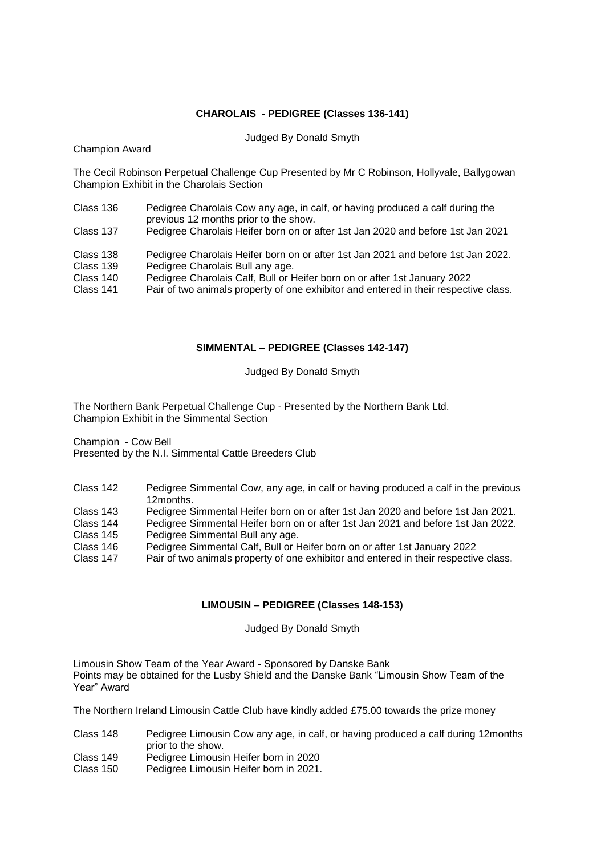## **CHAROLAIS - PEDIGREE (Classes 136-141)**

Judged By Donald Smyth

Champion Award

The Cecil Robinson Perpetual Challenge Cup Presented by Mr C Robinson, Hollyvale, Ballygowan Champion Exhibit in the Charolais Section

- Class 136 Pedigree Charolais Cow any age, in calf, or having produced a calf during the previous 12 months prior to the show.
- Class 137 Pedigree Charolais Heifer born on or after 1st Jan 2020 and before 1st Jan 2021
- Class 138 Pedigree Charolais Heifer born on or after 1st Jan 2021 and before 1st Jan 2022.
- Pedigree Charolais Bull any age.
- Class 140 Pedigree Charolais Calf, Bull or Heifer born on or after 1st January 2022
- Class 141 Pair of two animals property of one exhibitor and entered in their respective class.

## **SIMMENTAL – PEDIGREE (Classes 142-147)**

## Judged By Donald Smyth

The Northern Bank Perpetual Challenge Cup - Presented by the Northern Bank Ltd. Champion Exhibit in the Simmental Section

Champion - Cow Bell Presented by the N.I. Simmental Cattle Breeders Club

- Class 142 Pedigree Simmental Cow, any age, in calf or having produced a calf in the previous 12months.
- Class 143 Pedigree Simmental Heifer born on or after 1st Jan 2020 and before 1st Jan 2021.
- Class 144 Pedigree Simmental Heifer born on or after 1st Jan 2021 and before 1st Jan 2022.
- Class 145 Pedigree Simmental Bull any age.<br>Class 146 Pedigree Simmental Calf. Bull or H
- Class 146 Pedigree Simmental Calf, Bull or Heifer born on or after 1st January 2022
- Pair of two animals property of one exhibitor and entered in their respective class.

## **LIMOUSIN – PEDIGREE (Classes 148-153)**

Judged By Donald Smyth

Limousin Show Team of the Year Award - Sponsored by Danske Bank Points may be obtained for the Lusby Shield and the Danske Bank "Limousin Show Team of the Year" Award

The Northern Ireland Limousin Cattle Club have kindly added £75.00 towards the prize money

- Class 148 Pedigree Limousin Cow any age, in calf, or having produced a calf during 12months prior to the show.
- Class 149 Pedigree Limousin Heifer born in 2020<br>Class 150 Pedigree Limousin Heifer born in 2021.
- Pedigree Limousin Heifer born in 2021.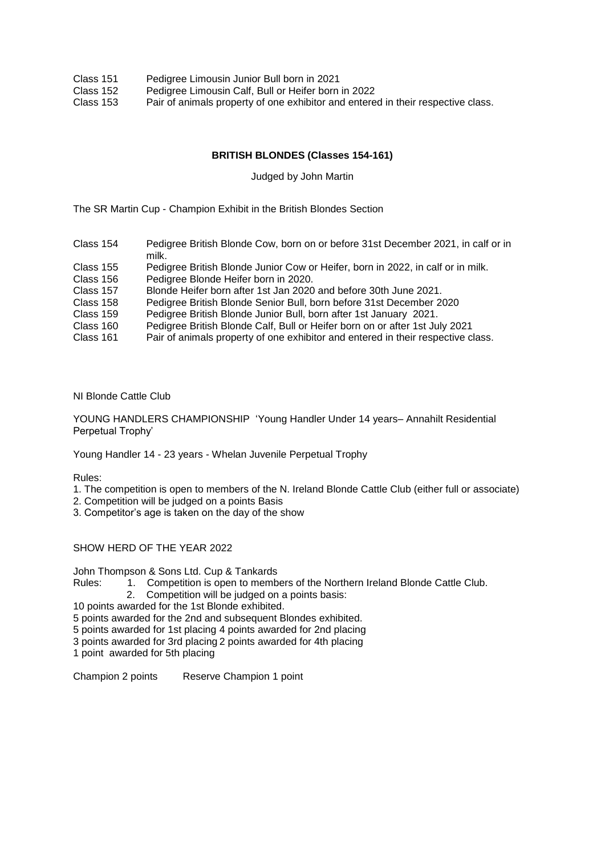- Class 151 Pedigree Limousin Junior Bull born in 2021
- Class 152 Pedigree Limousin Calf, Bull or Heifer born in 2022
- Class 153 Pair of animals property of one exhibitor and entered in their respective class.

## **BRITISH BLONDES (Classes 154-161)**

#### Judged by John Martin

The SR Martin Cup - Champion Exhibit in the British Blondes Section

- Class 154 Pedigree British Blonde Cow, born on or before 31st December 2021, in calf or in milk.
- Class 155 Pedigree British Blonde Junior Cow or Heifer, born in 2022, in calf or in milk.
- Class 156 Pedigree Blonde Heifer born in 2020.<br>Class 157 Blonde Heifer born after 1st Jan 2020
- Blonde Heifer born after 1st Jan 2020 and before 30th June 2021.
- Class 158 Pedigree British Blonde Senior Bull, born before 31st December 2020
- Class 159 Pedigree British Blonde Junior Bull, born after 1st January 2021.
- Class 160 Pedigree British Blonde Calf, Bull or Heifer born on or after 1st July 2021
- Class 161 Pair of animals property of one exhibitor and entered in their respective class.

## NI Blonde Cattle Club

YOUNG HANDLERS CHAMPIONSHIP 'Young Handler Under 14 years– Annahilt Residential Perpetual Trophy'

Young Handler 14 - 23 years - Whelan Juvenile Perpetual Trophy

Rules:

- 1. The competition is open to members of the N. Ireland Blonde Cattle Club (either full or associate)
- 2. Competition will be judged on a points Basis
- 3. Competitor's age is taken on the day of the show

SHOW HERD OF THE YEAR 2022

John Thompson & Sons Ltd. Cup & Tankards

- Rules: 1. Competition is open to members of the Northern Ireland Blonde Cattle Club.<br>2. Competition will be judged on a points basis:
	- 2. Competition will be judged on a points basis:
- 10 points awarded for the 1st Blonde exhibited.
- 5 points awarded for the 2nd and subsequent Blondes exhibited.
- 5 points awarded for 1st placing 4 points awarded for 2nd placing
- 3 points awarded for 3rd placing 2 points awarded for 4th placing
- 1 point awarded for 5th placing

Champion 2 points Reserve Champion 1 point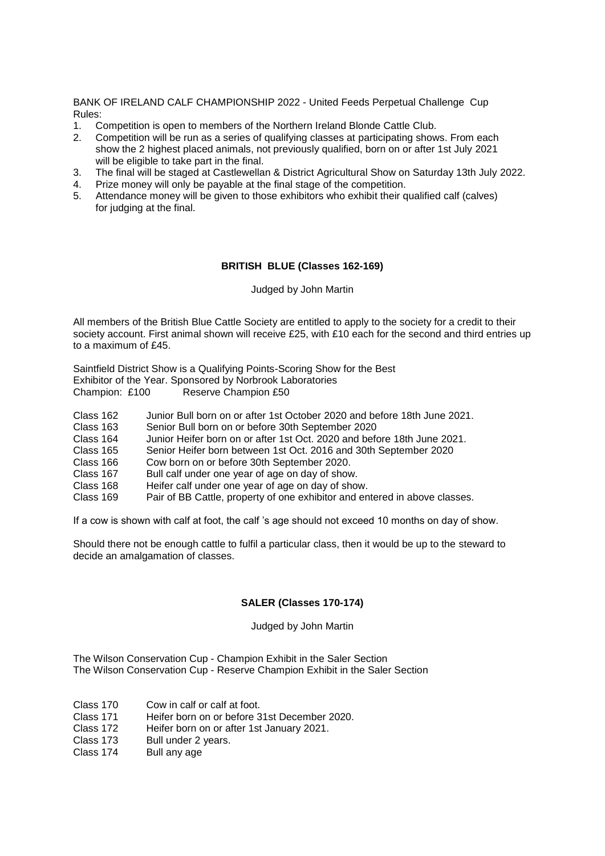BANK OF IRELAND CALF CHAMPIONSHIP 2022 - United Feeds Perpetual Challenge Cup Rules:

- 1. Competition is open to members of the Northern Ireland Blonde Cattle Club.
- 2. Competition will be run as a series of qualifying classes at participating shows. From each show the 2 highest placed animals, not previously qualified, born on or after 1st July 2021 will be eligible to take part in the final.
- 3. The final will be staged at Castlewellan & District Agricultural Show on Saturday 13th July 2022.
- 4. Prize money will only be payable at the final stage of the competition.
- 5. Attendance money will be given to those exhibitors who exhibit their qualified calf (calves) for judging at the final.

## **BRITISH BLUE (Classes 162-169)**

Judged by John Martin

All members of the British Blue Cattle Society are entitled to apply to the society for a credit to their society account. First animal shown will receive £25, with £10 each for the second and third entries up to a maximum of £45.

Saintfield District Show is a Qualifying Points-Scoring Show for the Best Exhibitor of the Year. Sponsored by Norbrook Laboratories Champion: £100 Reserve Champion £50

- Class 162 Junior Bull born on or after 1st October 2020 and before 18th June 2021.
- Class 163 Senior Bull born on or before 30th September 2020
- Class 164 Junior Heifer born on or after 1st Oct. 2020 and before 18th June 2021.<br>Class 165 Senior Heifer born between 1st Oct. 2016 and 30th September 2020
- Class 165 Senior Heifer born between 1st Oct. 2016 and 30th September 2020<br>Class 166 Cow born on or before 30th September 2020.
- Cow born on or before 30th September 2020.
- Class 167 Bull calf under one year of age on day of show.
- Class 168 Heifer calf under one year of age on day of show.<br>Class 169 Pair of BB Cattle property of one exhibitor and en
- Pair of BB Cattle, property of one exhibitor and entered in above classes.

If a cow is shown with calf at foot, the calf 's age should not exceed 10 months on day of show.

Should there not be enough cattle to fulfil a particular class, then it would be up to the steward to decide an amalgamation of classes.

## **SALER (Classes 170-174)**

Judged by John Martin

The Wilson Conservation Cup - Champion Exhibit in the Saler Section The Wilson Conservation Cup - Reserve Champion Exhibit in the Saler Section

- Class 170 Cow in calf or calf at foot.<br>Class 171 Heifer born on or before 3
- Heifer born on or before 31st December 2020.
- Class 172 Heifer born on or after 1st January 2021.<br>Class 173 Bull under 2 vears
- Class 173 Bull under 2 years.<br>Class 174 Bull any age
- Bull any age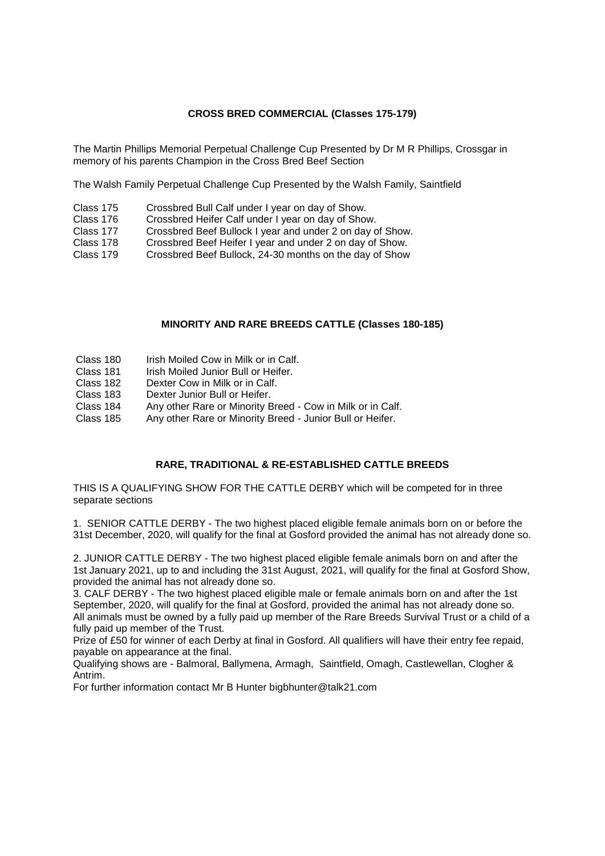## **CROSS BRED COMMERCIAL (Classes 175-179)**

The Martin Phillips Memorial Perpetual Challenge Cup Presented by Dr M R Phillips, Crossgar in memory of his parents Champion in the Cross Bred Beef Section

The Walsh Family Perpetual Challenge Cup Presented by the Walsh Family, Saintfield

- Class 175 Crossbred Bull Calf under I year on day of Show.
- Class 176 Crossbred Heifer Calf under I year on day of Show.
- Class 177 Crossbred Beef Bullock I year and under 2 on day of Show.
- Class 178 Crossbred Beef Heifer I year and under 2 on day of Show.
- Class 179 Crossbred Beef Bullock, 24-30 months on the day of Show

## **MINORITY AND RARE BREEDS CATTLE (Classes 180-185)**

- Class 180 Irish Moiled Cow in Milk or in Calf.
- Class 181 Irish Moiled Junior Bull or Heifer.<br>Class 182 Dexter Cow in Milk or in Calf.
- Dexter Cow in Milk or in Calf.
- Class 183 Dexter Junior Bull or Heifer.<br>Class 184 Any other Rare or Minority B
- Class 184 Any other Rare or Minority Breed Cow in Milk or in Calf.<br>Class 185 Any other Rare or Minority Breed Junior Bull or Heifer.
- Any other Rare or Minority Breed Junior Bull or Heifer.

# **RARE, TRADITIONAL & RE-ESTABLISHED CATTLE BREEDS**

THIS IS A QUALIFYING SHOW FOR THE CATTLE DERBY which will be competed for in three separate sections

1. SENIOR CATTLE DERBY - The two highest placed eligible female animals born on or before the 31st December, 2020, will qualify for the final at Gosford provided the animal has not already done so.

2. JUNIOR CATTLE DERBY - The two highest placed eligible female animals born on and after the 1st January 2021, up to and including the 31st August, 2021, will qualify for the final at Gosford Show, provided the animal has not already done so.

3. CALF DERBY - The two highest placed eligible male or female animals born on and after the 1st September, 2020, will qualify for the final at Gosford, provided the animal has not already done so. All animals must be owned by a fully paid up member of the Rare Breeds Survival Trust or a child of a fully paid up member of the Trust.

Prize of £50 for winner of each Derby at final in Gosford. All qualifiers will have their entry fee repaid, payable on appearance at the final.

Qualifying shows are - Balmoral, Ballymena, Armagh, Saintfield, Omagh, Castlewellan, Clogher & Antrim.

For further information contact Mr B Hunter bigbhunter@talk21.com